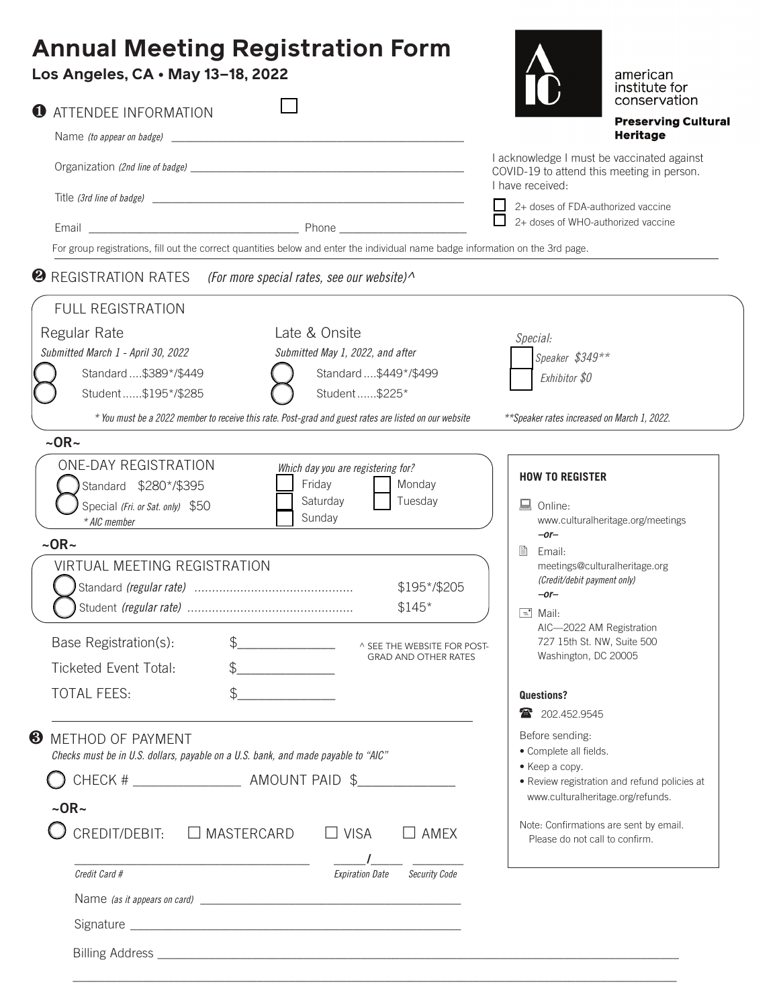## **Annual Meeting Registration Form**

| Los Angeles, CA · May 13-18, 2022                                                                                                                                                                                                                                                                    | american<br>institute for<br>conservation                                                                                                                                                                                                                        |  |  |  |  |  |  |  |
|------------------------------------------------------------------------------------------------------------------------------------------------------------------------------------------------------------------------------------------------------------------------------------------------------|------------------------------------------------------------------------------------------------------------------------------------------------------------------------------------------------------------------------------------------------------------------|--|--|--|--|--|--|--|
| <b>O</b> ATTENDEE INFORMATION                                                                                                                                                                                                                                                                        | <b>Preserving Cultural</b>                                                                                                                                                                                                                                       |  |  |  |  |  |  |  |
|                                                                                                                                                                                                                                                                                                      | <b>Heritage</b>                                                                                                                                                                                                                                                  |  |  |  |  |  |  |  |
|                                                                                                                                                                                                                                                                                                      | I acknowledge I must be vaccinated against<br>COVID-19 to attend this meeting in person.<br>I have received:                                                                                                                                                     |  |  |  |  |  |  |  |
|                                                                                                                                                                                                                                                                                                      | $\Box$ 2+ doses of FDA-authorized vaccine                                                                                                                                                                                                                        |  |  |  |  |  |  |  |
| $\Box$<br>2+ doses of WHO-authorized vaccine                                                                                                                                                                                                                                                         |                                                                                                                                                                                                                                                                  |  |  |  |  |  |  |  |
| For group registrations, fill out the correct quantities below and enter the individual name badge information on the 3rd page.                                                                                                                                                                      |                                                                                                                                                                                                                                                                  |  |  |  |  |  |  |  |
| <b>2</b> REGISTRATION RATES (For more special rates, see our website) $\wedge$                                                                                                                                                                                                                       |                                                                                                                                                                                                                                                                  |  |  |  |  |  |  |  |
| <b>FULL REGISTRATION</b>                                                                                                                                                                                                                                                                             |                                                                                                                                                                                                                                                                  |  |  |  |  |  |  |  |
| Late & Onsite<br>Regular Rate<br>Submitted March 1 - April 30, 2022<br>Submitted May 1, 2022, and after<br>Standard \$449*/\$499<br>Standard \$389*/\$449                                                                                                                                            | Special:<br>Speaker \$349**<br>Exhibitor \$0                                                                                                                                                                                                                     |  |  |  |  |  |  |  |
| Student\$195*/\$285<br>Student \$225*                                                                                                                                                                                                                                                                |                                                                                                                                                                                                                                                                  |  |  |  |  |  |  |  |
| * You must be a 2022 member to receive this rate. Post-grad and guest rates are listed on our website<br>$\sim$ OR $\sim$                                                                                                                                                                            | **Speaker rates increased on March 1, 2022.                                                                                                                                                                                                                      |  |  |  |  |  |  |  |
| Saturday<br>Tuesday<br>Special (Fri. or Sat. only) \$50<br>Sunday<br>* AIC member<br>$\sim$ OR $\sim$<br><b>VIRTUAL MEETING REGISTRATION</b><br>\$195*/\$205<br>$$145*$<br>\$<br>Base Registration(s):<br>^ SEE THE WEBSITE FOR POST-<br><b>GRAD AND OTHER RATES</b><br><b>Ticketed Event Total:</b> | 鳳<br>Online:<br>www.culturalheritage.org/meetings<br>$-$ or $-$<br>B<br>Email:<br>meetings@culturalheritage.org<br>(Credit/debit payment only)<br>$-$ or $-$<br>$\equiv$ Mail:<br>AIC-2022 AM Registration<br>727 15th St. NW, Suite 500<br>Washington, DC 20005 |  |  |  |  |  |  |  |
| $\mathcal{L}$<br><b>TOTAL FEES:</b>                                                                                                                                                                                                                                                                  | Questions?                                                                                                                                                                                                                                                       |  |  |  |  |  |  |  |
| <u> 1980 - Johann Barn, amerikansk politiker (d. 1980)</u>                                                                                                                                                                                                                                           | 202.452.9545                                                                                                                                                                                                                                                     |  |  |  |  |  |  |  |
| ❸<br>METHOD OF PAYMENT<br>Checks must be in U.S. dollars, payable on a U.S. bank, and made payable to "AIC"<br>$\sim$ OR $\sim$                                                                                                                                                                      | Before sending:<br>· Complete all fields.<br>• Keep a copy.<br>· Review registration and refund policies at<br>www.culturalheritage.org/refunds.                                                                                                                 |  |  |  |  |  |  |  |
|                                                                                                                                                                                                                                                                                                      | Note: Confirmations are sent by email.                                                                                                                                                                                                                           |  |  |  |  |  |  |  |
| CREDIT/DEBIT:<br>$\Box$ MASTERCARD<br>$\Box$ VISA<br>$\Box$ AMEX                                                                                                                                                                                                                                     | Please do not call to confirm.                                                                                                                                                                                                                                   |  |  |  |  |  |  |  |
| Credit Card #<br><b>Expiration Date</b><br><b>Security Code</b>                                                                                                                                                                                                                                      |                                                                                                                                                                                                                                                                  |  |  |  |  |  |  |  |
|                                                                                                                                                                                                                                                                                                      |                                                                                                                                                                                                                                                                  |  |  |  |  |  |  |  |
|                                                                                                                                                                                                                                                                                                      |                                                                                                                                                                                                                                                                  |  |  |  |  |  |  |  |
| <b>Billing Address</b>                                                                                                                                                                                                                                                                               |                                                                                                                                                                                                                                                                  |  |  |  |  |  |  |  |

\_\_\_\_\_\_\_\_\_\_\_\_\_\_\_\_\_\_\_\_\_\_\_\_\_\_\_\_\_\_\_\_\_\_\_\_\_\_\_\_\_\_\_\_\_\_\_\_\_\_\_\_\_\_\_\_\_\_\_\_\_\_\_\_\_\_\_\_\_\_\_\_\_\_\_\_\_\_\_\_\_\_\_\_\_\_\_\_\_\_\_\_\_\_\_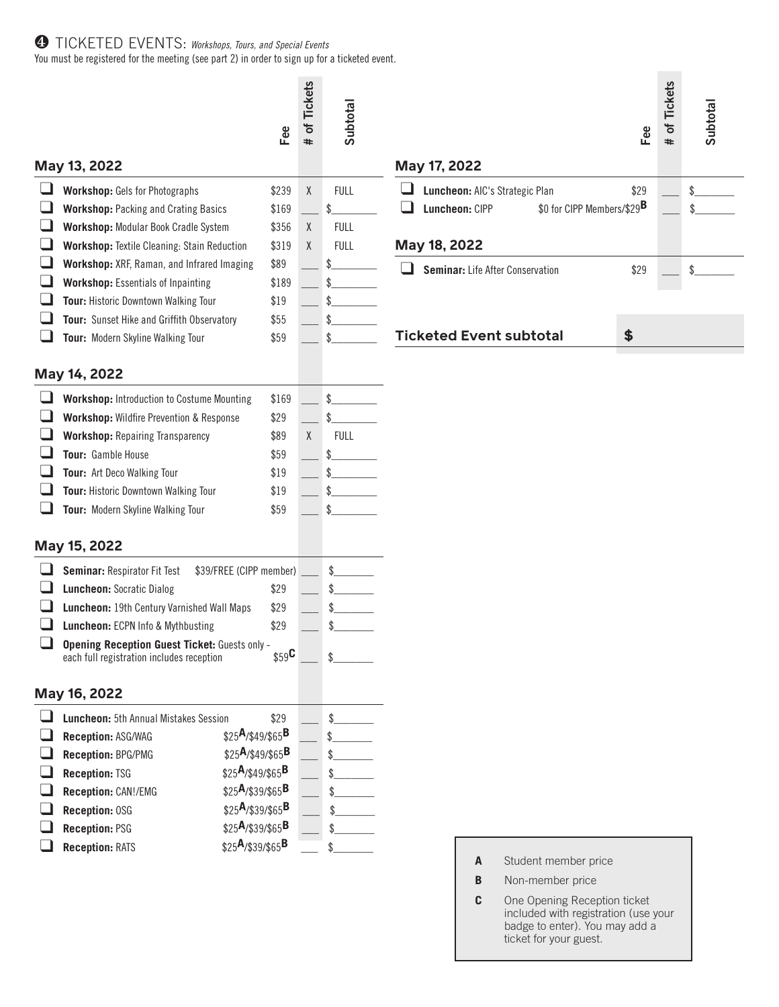## ❹ TICKETED EVENTS: *Workshops, Tours, and Special Events*

You must be registered for the meeting (see part 2) in order to sign up for a ticketed event.

|                                                                                                                                                                                                                                                                                                                                                                                                   | Fee                                                                       | of Tickets<br>#                                                                                                                                                                                                                                                                                           | Subtotal                                              | Fee                                                                                                                                                                                                                                     |                                                    | <b>Tickets</b><br>Ⴆ<br># | Subtotal |
|---------------------------------------------------------------------------------------------------------------------------------------------------------------------------------------------------------------------------------------------------------------------------------------------------------------------------------------------------------------------------------------------------|---------------------------------------------------------------------------|-----------------------------------------------------------------------------------------------------------------------------------------------------------------------------------------------------------------------------------------------------------------------------------------------------------|-------------------------------------------------------|-----------------------------------------------------------------------------------------------------------------------------------------------------------------------------------------------------------------------------------------|----------------------------------------------------|--------------------------|----------|
| May 13, 2022                                                                                                                                                                                                                                                                                                                                                                                      |                                                                           |                                                                                                                                                                                                                                                                                                           |                                                       | May 17, 2022                                                                                                                                                                                                                            |                                                    |                          |          |
| <b>Workshop:</b> Gels for Photographs<br><b>Workshop: Packing and Crating Basics</b><br>Workshop: Modular Book Cradle System<br>Workshop: Textile Cleaning: Stain Reduction<br>Workshop: XRF, Raman, and Infrared Imaging<br><b>Workshop:</b> Essentials of Inpainting<br>Tour: Historic Downtown Walking Tour<br>Tour: Sunset Hike and Griffith Observatory<br>Tour: Modern Skyline Walking Tour | \$239<br>\$169<br>\$356<br>\$319<br>\$89<br>\$189<br>\$19<br>\$55<br>\$59 | $\mathsf X$<br>χ<br>χ                                                                                                                                                                                                                                                                                     | <b>FULL</b><br>\$<br><b>FULL</b><br><b>FULL</b><br>\$ | Luncheon: AIC's Strategic Plan<br>\$29<br>ப<br>\$0 for CIPP Members/\$29 <sup>B</sup><br>Luncheon: CIPP<br>May 18, 2022<br>Seminar: Life After Conservation<br>$\overline{\phantom{a}}$<br>\$29<br><b>Ticketed Event subtotal</b><br>\$ |                                                    |                          |          |
|                                                                                                                                                                                                                                                                                                                                                                                                   |                                                                           |                                                                                                                                                                                                                                                                                                           |                                                       |                                                                                                                                                                                                                                         |                                                    |                          |          |
| May 14, 2022                                                                                                                                                                                                                                                                                                                                                                                      |                                                                           |                                                                                                                                                                                                                                                                                                           |                                                       |                                                                                                                                                                                                                                         |                                                    |                          |          |
| <b>Workshop:</b> Introduction to Costume Mounting<br>Workshop: Wildfire Prevention & Response<br><b>Workshop: Repairing Transparency</b><br>Tour: Gamble House<br>Tour: Art Deco Walking Tour<br>Tour: Historic Downtown Walking Tour<br>Tour: Modern Skyline Walking Tour                                                                                                                        | \$169<br>\$29<br>\$89<br>\$59<br>\$19<br>\$19<br>\$59                     | χ                                                                                                                                                                                                                                                                                                         | <b>FULL</b>                                           |                                                                                                                                                                                                                                         |                                                    |                          |          |
| May 15, 2022                                                                                                                                                                                                                                                                                                                                                                                      |                                                                           |                                                                                                                                                                                                                                                                                                           |                                                       |                                                                                                                                                                                                                                         |                                                    |                          |          |
| Seminar: Respirator Fit Test<br><b>Luncheon: Socratic Dialog</b><br>Luncheon: ECPN Info & Mythbusting<br>each full registration includes reception                                                                                                                                                                                                                                                | \$29<br>\$29<br>\$29                                                      |                                                                                                                                                                                                                                                                                                           | \$<br>\$<br>\$<br>\$<br>\$                            |                                                                                                                                                                                                                                         |                                                    |                          |          |
| May 16, 2022                                                                                                                                                                                                                                                                                                                                                                                      |                                                                           |                                                                                                                                                                                                                                                                                                           |                                                       |                                                                                                                                                                                                                                         |                                                    |                          |          |
| Luncheon: 5th Annual Mistakes Session<br>Reception: ASG/WAG<br><b>Reception: BPG/PMG</b><br><b>Reception: TSG</b><br>Reception: CAN!/EMG<br>Reception: OSG<br><b>Reception: PSG</b><br><b>Reception: RATS</b>                                                                                                                                                                                     | \$29                                                                      |                                                                                                                                                                                                                                                                                                           | \$                                                    |                                                                                                                                                                                                                                         |                                                    |                          |          |
|                                                                                                                                                                                                                                                                                                                                                                                                   |                                                                           | \$39/FREE (CIPP member)<br>Luncheon: 19th Century Varnished Wall Maps<br><b>Opening Reception Guest Ticket: Guests only -</b><br>\$25A/\$49/\$65B<br>$$25A$ /\$49/\$65 <sup>B</sup><br>\$25A/\$49/\$65B<br>$$25A$ /\$39/\$65 <sup>B</sup><br>$$25A$ /\$39/\$65B<br>$$25A$ /\$39/\$65B<br>\$25A/\$39/\$65B | $$59$ <sup>C</sup>                                    |                                                                                                                                                                                                                                         | Student member price<br>A<br>B<br>Non-member price |                          |          |

**C** One Opening Reception ticket included with registration (use your badge to enter). You may add a ticket for your guest.